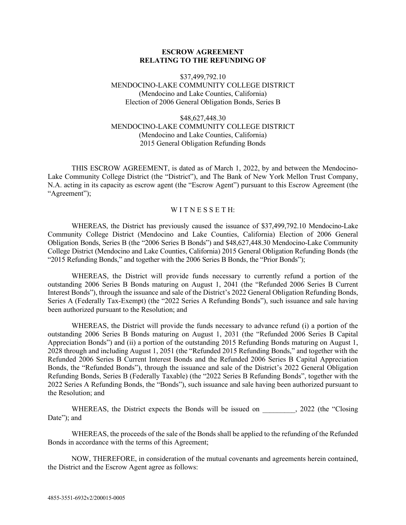### **ESCROW AGREEMENT RELATING TO THE REFUNDING OF**

### \$37,499,792.10 MENDOCINO-LAKE COMMUNITY COLLEGE DISTRICT (Mendocino and Lake Counties, California) Election of 2006 General Obligation Bonds, Series B

### \$48,627,448.30 MENDOCINO-LAKE COMMUNITY COLLEGE DISTRICT (Mendocino and Lake Counties, California) 2015 General Obligation Refunding Bonds

THIS ESCROW AGREEMENT, is dated as of March 1, 2022, by and between the Mendocino-Lake Community College District (the "District"), and The Bank of New York Mellon Trust Company, N.A. acting in its capacity as escrow agent (the "Escrow Agent") pursuant to this Escrow Agreement (the "Agreement");

### WITNESSETH:

WHEREAS, the District has previously caused the issuance of \$37,499,792.10 Mendocino-Lake Community College District (Mendocino and Lake Counties, California) Election of 2006 General Obligation Bonds, Series B (the "2006 Series B Bonds") and \$48,627,448.30 Mendocino-Lake Community College District (Mendocino and Lake Counties, California) 2015 General Obligation Refunding Bonds (the "2015 Refunding Bonds," and together with the 2006 Series B Bonds, the "Prior Bonds");

WHEREAS, the District will provide funds necessary to currently refund a portion of the outstanding 2006 Series B Bonds maturing on August 1, 2041 (the "Refunded 2006 Series B Current Interest Bonds"), through the issuance and sale of the District's 2022 General Obligation Refunding Bonds, Series A (Federally Tax-Exempt) (the "2022 Series A Refunding Bonds"), such issuance and sale having been authorized pursuant to the Resolution; and

WHEREAS, the District will provide the funds necessary to advance refund (i) a portion of the outstanding 2006 Series B Bonds maturing on August 1, 2031 (the "Refunded 2006 Series B Capital Appreciation Bonds") and (ii) a portion of the outstanding 2015 Refunding Bonds maturing on August 1, 2028 through and including August 1, 2051 (the "Refunded 2015 Refunding Bonds," and together with the Refunded 2006 Series B Current Interest Bonds and the Refunded 2006 Series B Capital Appreciation Bonds, the "Refunded Bonds"), through the issuance and sale of the District's 2022 General Obligation Refunding Bonds, Series B (Federally Taxable) (the "2022 Series B Refunding Bonds", together with the 2022 Series A Refunding Bonds, the "Bonds"), such issuance and sale having been authorized pursuant to the Resolution; and

WHEREAS, the District expects the Bonds will be issued on  $\qquad \qquad$ , 2022 (the "Closing Date"; and

WHEREAS, the proceeds of the sale of the Bonds shall be applied to the refunding of the Refunded Bonds in accordance with the terms of this Agreement;

NOW, THEREFORE, in consideration of the mutual covenants and agreements herein contained, the District and the Escrow Agent agree as follows: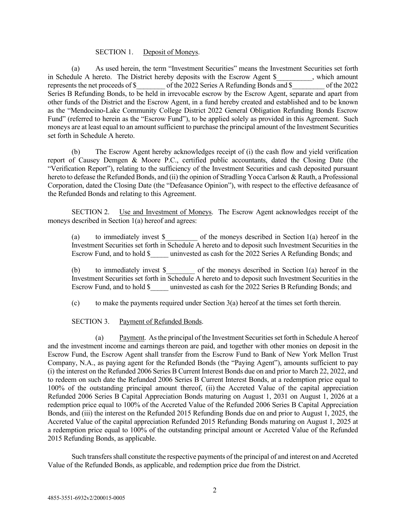### SECTION 1. Deposit of Moneys.

(a) As used herein, the term "Investment Securities" means the Investment Securities set forth in Schedule A hereto. The District hereby deposits with the Escrow Agent \$, which amount represents the net proceeds of \$  $\qquad \qquad$  of the 2022 Series A Refunding Bonds and \$  $\qquad \qquad$  of the 2022 Series B Refunding Bonds, to be held in irrevocable escrow by the Escrow Agent, separate and apart from other funds of the District and the Escrow Agent, in a fund hereby created and established and to be known as the "Mendocino-Lake Community College District 2022 General Obligation Refunding Bonds Escrow Fund" (referred to herein as the "Escrow Fund"), to be applied solely as provided in this Agreement. Such moneys are at least equal to an amount sufficient to purchase the principal amount of the Investment Securities set forth in Schedule A hereto.

(b) The Escrow Agent hereby acknowledges receipt of (i) the cash flow and yield verification report of Causey Demgen & Moore P.C., certified public accountants, dated the Closing Date (the "Verification Report"), relating to the sufficiency of the Investment Securities and cash deposited pursuant hereto to defease the Refunded Bonds, and (ii) the opinion of Stradling Yocca Carlson & Rauth, a Professional Corporation, dated the Closing Date (the "Defeasance Opinion"), with respect to the effective defeasance of the Refunded Bonds and relating to this Agreement.

SECTION 2. Use and Investment of Moneys. The Escrow Agent acknowledges receipt of the moneys described in Section 1(a) hereof and agrees:

(a) to immediately invest \$\_\_\_\_\_\_\_\_\_ of the moneys described in Section 1(a) hereof in the Investment Securities set forth in Schedule A hereto and to deposit such Investment Securities in the Escrow Fund, and to hold \$ uninvested as cash for the 2022 Series A Refunding Bonds; and

(b) to immediately invest \$\_\_\_\_\_\_\_\_ of the moneys described in Section 1(a) hereof in the Investment Securities set forth in Schedule A hereto and to deposit such Investment Securities in the Escrow Fund, and to hold \$ uninvested as cash for the 2022 Series B Refunding Bonds; and

(c) to make the payments required under Section  $3(a)$  hereof at the times set forth therein.

### SECTION 3. Payment of Refunded Bonds.

(a) Payment. As the principal of the Investment Securities set forth in Schedule A hereof and the investment income and earnings thereon are paid, and together with other monies on deposit in the Escrow Fund, the Escrow Agent shall transfer from the Escrow Fund to Bank of New York Mellon Trust Company, N.A., as paying agent for the Refunded Bonds (the "Paying Agent"), amounts sufficient to pay (i) the interest on the Refunded 2006 Series B Current Interest Bonds due on and prior to March 22, 2022, and to redeem on such date the Refunded 2006 Series B Current Interest Bonds, at a redemption price equal to 100% of the outstanding principal amount thereof, (ii) the Accreted Value of the capital appreciation Refunded 2006 Series B Capital Appreciation Bonds maturing on August 1, 2031 on August 1, 2026 at a redemption price equal to 100% of the Accreted Value of the Refunded 2006 Series B Capital Appreciation Bonds, and (iii) the interest on the Refunded 2015 Refunding Bonds due on and prior to August 1, 2025, the Accreted Value of the capital appreciation Refunded 2015 Refunding Bonds maturing on August 1, 2025 at a redemption price equal to 100% of the outstanding principal amount or Accreted Value of the Refunded 2015 Refunding Bonds, as applicable.

Such transfers shall constitute the respective payments of the principal of and interest on and Accreted Value of the Refunded Bonds, as applicable, and redemption price due from the District.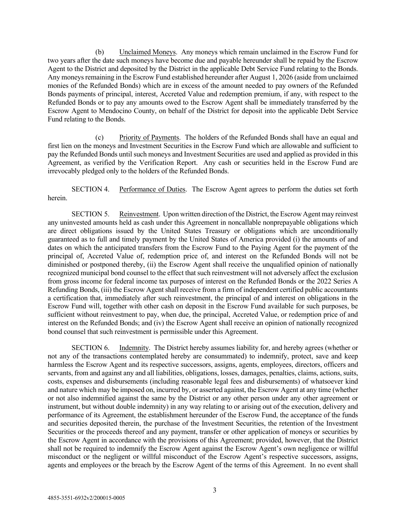(b) Unclaimed Moneys. Any moneys which remain unclaimed in the Escrow Fund for two years after the date such moneys have become due and payable hereunder shall be repaid by the Escrow Agent to the District and deposited by the District in the applicable Debt Service Fund relating to the Bonds. Any moneys remaining in the Escrow Fund established hereunder after August 1, 2026 (aside from unclaimed monies of the Refunded Bonds) which are in excess of the amount needed to pay owners of the Refunded Bonds payments of principal, interest, Accreted Value and redemption premium, if any, with respect to the Refunded Bonds or to pay any amounts owed to the Escrow Agent shall be immediately transferred by the Escrow Agent to Mendocino County, on behalf of the District for deposit into the applicable Debt Service Fund relating to the Bonds.

(c) Priority of Payments. The holders of the Refunded Bonds shall have an equal and first lien on the moneys and Investment Securities in the Escrow Fund which are allowable and sufficient to pay the Refunded Bonds until such moneys and Investment Securities are used and applied as provided in this Agreement, as verified by the Verification Report. Any cash or securities held in the Escrow Fund are irrevocably pledged only to the holders of the Refunded Bonds.

SECTION 4. Performance of Duties. The Escrow Agent agrees to perform the duties set forth herein.

SECTION 5. Reinvestment. Upon written direction of the District, the Escrow Agent may reinvest any uninvested amounts held as cash under this Agreement in noncallable nonprepayable obligations which are direct obligations issued by the United States Treasury or obligations which are unconditionally guaranteed as to full and timely payment by the United States of America provided (i) the amounts of and dates on which the anticipated transfers from the Escrow Fund to the Paying Agent for the payment of the principal of, Accreted Value of, redemption price of, and interest on the Refunded Bonds will not be diminished or postponed thereby, (ii) the Escrow Agent shall receive the unqualified opinion of nationally recognized municipal bond counsel to the effect that such reinvestment will not adversely affect the exclusion from gross income for federal income tax purposes of interest on the Refunded Bonds or the 2022 Series A Refunding Bonds, (iii) the Escrow Agent shall receive from a firm of independent certified public accountants a certification that, immediately after such reinvestment, the principal of and interest on obligations in the Escrow Fund will, together with other cash on deposit in the Escrow Fund available for such purposes, be sufficient without reinvestment to pay, when due, the principal, Accreted Value, or redemption price of and interest on the Refunded Bonds; and (iv) the Escrow Agent shall receive an opinion of nationally recognized bond counsel that such reinvestment is permissible under this Agreement.

SECTION 6. Indemnity. The District hereby assumes liability for, and hereby agrees (whether or not any of the transactions contemplated hereby are consummated) to indemnify, protect, save and keep harmless the Escrow Agent and its respective successors, assigns, agents, employees, directors, officers and servants, from and against any and all liabilities, obligations, losses, damages, penalties, claims, actions, suits, costs, expenses and disbursements (including reasonable legal fees and disbursements) of whatsoever kind and nature which may be imposed on, incurred by, or asserted against, the Escrow Agent at any time (whether or not also indemnified against the same by the District or any other person under any other agreement or instrument, but without double indemnity) in any way relating to or arising out of the execution, delivery and performance of its Agreement, the establishment hereunder of the Escrow Fund, the acceptance of the funds and securities deposited therein, the purchase of the Investment Securities, the retention of the Investment Securities or the proceeds thereof and any payment, transfer or other application of moneys or securities by the Escrow Agent in accordance with the provisions of this Agreement; provided, however, that the District shall not be required to indemnify the Escrow Agent against the Escrow Agent's own negligence or willful misconduct or the negligent or willful misconduct of the Escrow Agent's respective successors, assigns, agents and employees or the breach by the Escrow Agent of the terms of this Agreement. In no event shall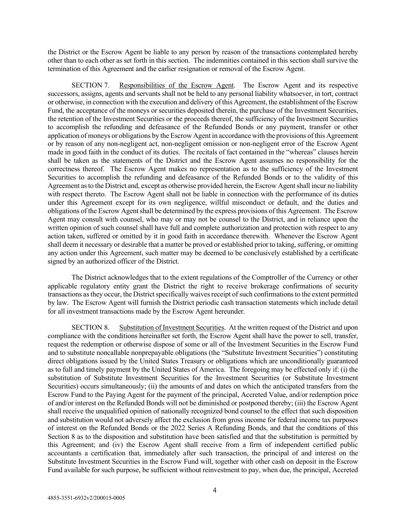the District or the Escrow Agent be liable to any person by reason of the transactions contemplated hereby other than to each other as set forth in this section. The indemnities contained in this section shall survive the termination of this Agreement and the earlier resignation or removal of the Escrow Agent.

SECTION 7. Responsibilities of the Escrow Agent. The Escrow Agent and its respective successors, assigns, agents and servants shall not be held to any personal liability whatsoever, in tort, contract or otherwise, in connection with the execution and delivery of this Agreement, the establishment of the Escrow Fund, the acceptance of the moneys or securities deposited therein, the purchase of the Investment Securities, the retention of the Investment Securities or the proceeds thereof, the sufficiency of the Investment Securities to accomplish the refunding and defeasance of the Refunded Bonds or any payment, transfer or other application of moneys or obligations by the Escrow Agent in accordance with the provisions of this Agreement or by reason of any non-negligent act, non-negligent omission or non-negligent error of the Escrow Agent made in good faith in the conduct of its duties. The recitals of fact contained in the "whereas" clauses herein shall be taken as the statements of the District and the Escrow Agent assumes no responsibility for the correctness thereof. The Escrow Agent makes no representation as to the sufficiency of the Investment Securities to accomplish the refunding and defeasance of the Refunded Bonds or to the validity of this Agreement as to the District and, except as otherwise provided herein, the Escrow Agent shall incur no liability with respect thereto. The Escrow Agent shall not be liable in connection with the performance of its duties under this Agreement except for its own negligence, willful misconduct or default, and the duties and obligations of the Escrow Agent shall be determined by the express provisions of this Agreement. The Escrow Agent may consult with counsel, who may or may not be counsel to the District, and in reliance upon the written opinion of such counsel shall have full and complete authorization and protection with respect to any action taken, suffered or omitted by it in good faith in accordance therewith. Whenever the Escrow Agent shall deem it necessary or desirable that a matter be proved or established prior to taking, suffering, or omitting any action under this Agreement, such matter may be deemed to be conclusively established by a certificate signed by an authorized officer of the District.

The District acknowledges that to the extent regulations of the Comptroller of the Currency or other applicable regulatory entity grant the District the right to receive brokerage confirmations of security transactions as they occur, the District specifically waives receipt of such confirmations to the extent permitted by law. The Escrow Agent will furnish the District periodic cash transaction statements which include detail for all investment transactions made by the Escrow Agent hereunder.

SECTION 8. Substitution of Investment Securities. At the written request of the District and upon compliance with the conditions hereinafter set forth, the Escrow Agent shall have the power to sell, transfer, request the redemption or otherwise dispose of some or all of the Investment Securities in the Escrow Fund and to substitute noncallable nonprepayable obligations (the "Substitute Investment Securities") constituting direct obligations issued by the United States Treasury or obligations which are unconditionally guaranteed as to full and timely payment by the United States of America. The foregoing may be effected only if: (i) the substitution of Substitute Investment Securities for the Investment Securities (or Substitute Investment Securities) occurs simultaneously; (ii) the amounts of and dates on which the anticipated transfers from the Escrow Fund to the Paying Agent for the payment of the principal, Accreted Value, and/or redemption price of and/or interest on the Refunded Bonds will not be diminished or postponed thereby; (iii) the Escrow Agent shall receive the unqualified opinion of nationally recognized bond counsel to the effect that such disposition and substitution would not adversely affect the exclusion from gross income for federal income tax purposes of interest on the Refunded Bonds or the 2022 Series A Refunding Bonds, and that the conditions of this Section 8 as to the disposition and substitution have been satisfied and that the substitution is permitted by this Agreement; and (iv) the Escrow Agent shall receive from a firm of independent certified public accountants a certification that, immediately after such transaction, the principal of and interest on the Substitute Investment Securities in the Escrow Fund will, together with other cash on deposit in the Escrow Fund available for such purpose, be sufficient without reinvestment to pay, when due, the principal, Accreted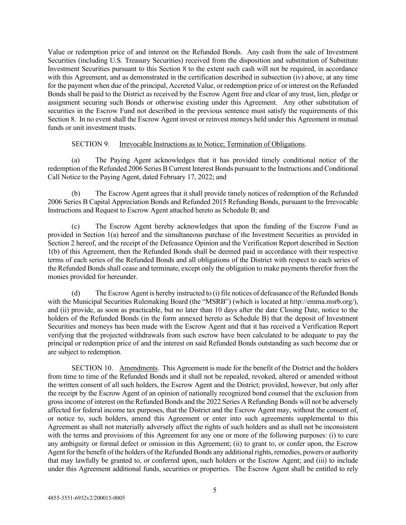Value or redemption price of and interest on the Refunded Bonds. Any cash from the sale of Investment Securities (including U.S. Treasury Securities) received from the disposition and substitution of Substitute Investment Securities pursuant to this Section 8 to the extent such cash will not be required, in accordance with this Agreement, and as demonstrated in the certification described in subsection  $(iv)$  above, at any time for the payment when due of the principal, Accreted Value, or redemption price of or interest on the Refunded Bonds shall be paid to the District as received by the Escrow Agent free and clear of any trust, lien, pledge or assignment securing such Bonds or otherwise existing under this Agreement. Any other substitution of securities in the Escrow Fund not described in the previous sentence must satisfy the requirements of this Section 8. In no event shall the Escrow Agent invest or reinvest moneys held under this Agreement in mutual funds or unit investment trusts.

### SECTION 9. Irrevocable Instructions as to Notice; Termination of Obligations.

(a) The Paying Agent acknowledges that it has provided timely conditional notice of the redemption of the Refunded 2006 Series B Current Interest Bonds pursuant to the Instructions and Conditional Call Notice to the Paying Agent, dated February 17, 2022; and

(b) The Escrow Agent agrees that it shall provide timely notices of redemption of the Refunded 2006 Series B Capital Appreciation Bonds and Refunded 2015 Refunding Bonds, pursuant to the Irrevocable Instructions and Request to Escrow Agent attached hereto as Schedule B; and

(c) The Escrow Agent hereby acknowledges that upon the funding of the Escrow Fund as provided in Section 1(a) hereof and the simultaneous purchase of the Investment Securities as provided in Section 2 hereof, and the receipt of the Defeasance Opinion and the Verification Report described in Section 1(b) of this Agreement, then the Refunded Bonds shall be deemed paid in accordance with their respective terms of each series of the Refunded Bonds and all obligations of the District with respect to each series of the Refunded Bonds shall cease and terminate, except only the obligation to make payments therefor from the monies provided for hereunder.

(d) The Escrow Agent is hereby instructed to (i) file notices of defeasance of the Refunded Bonds with the Municipal Securities Rulemaking Board (the "MSRB") (which is located at http://emma.msrb.org/), and (ii) provide, as soon as practicable, but no later than 10 days after the date Closing Date, notice to the holders of the Refunded Bonds (in the form annexed hereto as Schedule B) that the deposit of Investment Securities and moneys has been made with the Escrow Agent and that it has received a Verification Report verifying that the projected withdrawals from such escrow have been calculated to be adequate to pay the principal or redemption price of and the interest on said Refunded Bonds outstanding as such become due or are subject to redemption.

SECTION 10. Amendments. This Agreement is made for the benefit of the District and the holders from time to time of the Refunded Bonds and it shall not be repealed, revoked, altered or amended without the written consent of all such holders, the Escrow Agent and the District; provided, however, but only after the receipt by the Escrow Agent of an opinion of nationally recognized bond counsel that the exclusion from gross income of interest on the Refunded Bonds and the 2022 Series A Refunding Bonds will not be adversely affected for federal income tax purposes, that the District and the Escrow Agent may, without the consent of, or notice to, such holders, amend this Agreement or enter into such agreements supplemental to this Agreement as shall not materially adversely affect the rights of such holders and as shall not be inconsistent with the terms and provisions of this Agreement for any one or more of the following purposes: (i) to cure any ambiguity or formal defect or omission in this Agreement; (ii) to grant to, or confer upon, the Escrow Agent for the benefit of the holders of the Refunded Bonds any additional rights, remedies, powers or authority that may lawfully be granted to, or conferred upon, such holders or the Escrow Agent; and (iii) to include under this Agreement additional funds, securities or properties. The Escrow Agent shall be entitled to rely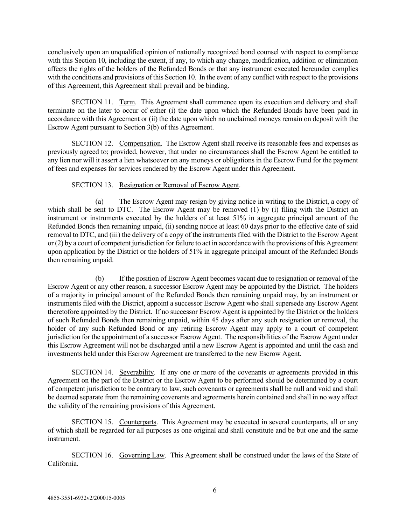conclusively upon an unqualified opinion of nationally recognized bond counsel with respect to compliance with this Section 10, including the extent, if any, to which any change, modification, addition or elimination affects the rights of the holders of the Refunded Bonds or that any instrument executed hereunder complies with the conditions and provisions of this Section 10. In the event of any conflict with respect to the provisions of this Agreement, this Agreement shall prevail and be binding.

SECTION 11. Term. This Agreement shall commence upon its execution and delivery and shall terminate on the later to occur of either (i) the date upon which the Refunded Bonds have been paid in accordance with this Agreement or (ii) the date upon which no unclaimed moneys remain on deposit with the Escrow Agent pursuant to Section 3(b) of this Agreement.

SECTION 12. Compensation. The Escrow Agent shall receive its reasonable fees and expenses as previously agreed to; provided, however, that under no circumstances shall the Escrow Agent be entitled to any lien nor will it assert a lien whatsoever on any moneys or obligations in the Escrow Fund for the payment of fees and expenses for services rendered by the Escrow Agent under this Agreement.

### SECTION 13. Resignation or Removal of Escrow Agent.

(a) The Escrow Agent may resign by giving notice in writing to the District, a copy of which shall be sent to DTC. The Escrow Agent may be removed (1) by (i) filing with the District an instrument or instruments executed by the holders of at least 51% in aggregate principal amount of the Refunded Bonds then remaining unpaid, (ii) sending notice at least 60 days prior to the effective date of said removal to DTC, and (iii) the delivery of a copy of the instruments filed with the District to the Escrow Agent or (2) by a court of competent jurisdiction for failure to act in accordance with the provisions of this Agreement upon application by the District or the holders of 51% in aggregate principal amount of the Refunded Bonds then remaining unpaid.

(b) If the position of Escrow Agent becomes vacant due to resignation or removal of the Escrow Agent or any other reason, a successor Escrow Agent may be appointed by the District. The holders of a majority in principal amount of the Refunded Bonds then remaining unpaid may, by an instrument or instruments filed with the District, appoint a successor Escrow Agent who shall supersede any Escrow Agent theretofore appointed by the District. If no successor Escrow Agent is appointed by the District or the holders of such Refunded Bonds then remaining unpaid, within 45 days after any such resignation or removal, the holder of any such Refunded Bond or any retiring Escrow Agent may apply to a court of competent jurisdiction for the appointment of a successor Escrow Agent. The responsibilities of the Escrow Agent under this Escrow Agreement will not be discharged until a new Escrow Agent is appointed and until the cash and investments held under this Escrow Agreement are transferred to the new Escrow Agent.

SECTION 14. Severability. If any one or more of the covenants or agreements provided in this Agreement on the part of the District or the Escrow Agent to be performed should be determined by a court of competent jurisdiction to be contrary to law, such covenants or agreements shall be null and void and shall be deemed separate from the remaining covenants and agreements herein contained and shall in no way affect the validity of the remaining provisions of this Agreement.

SECTION 15. Counterparts. This Agreement may be executed in several counterparts, all or any of which shall be regarded for all purposes as one original and shall constitute and be but one and the same instrument.

SECTION 16. Governing Law. This Agreement shall be construed under the laws of the State of California.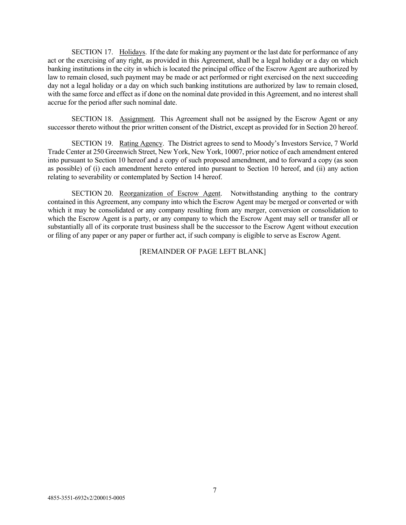SECTION 17. Holidays. If the date for making any payment or the last date for performance of any act or the exercising of any right, as provided in this Agreement, shall be a legal holiday or a day on which banking institutions in the city in which is located the principal office of the Escrow Agent are authorized by law to remain closed, such payment may be made or act performed or right exercised on the next succeeding day not a legal holiday or a day on which such banking institutions are authorized by law to remain closed, with the same force and effect as if done on the nominal date provided in this Agreement, and no interest shall accrue for the period after such nominal date.

SECTION 18. Assignment. This Agreement shall not be assigned by the Escrow Agent or any successor thereto without the prior written consent of the District, except as provided for in Section 20 hereof.

SECTION 19. Rating Agency. The District agrees to send to Moody's Investors Service, 7 World Trade Center at 250 Greenwich Street, New York, New York, 10007, prior notice of each amendment entered into pursuant to Section 10 hereof and a copy of such proposed amendment, and to forward a copy (as soon as possible) of (i) each amendment hereto entered into pursuant to Section 10 hereof, and (ii) any action relating to severability or contemplated by Section 14 hereof.

SECTION 20. Reorganization of Escrow Agent. Notwithstanding anything to the contrary contained in this Agreement, any company into which the Escrow Agent may be merged or converted or with which it may be consolidated or any company resulting from any merger, conversion or consolidation to which the Escrow Agent is a party, or any company to which the Escrow Agent may sell or transfer all or substantially all of its corporate trust business shall be the successor to the Escrow Agent without execution or filing of any paper or any paper or further act, if such company is eligible to serve as Escrow Agent.

[REMAINDER OF PAGE LEFT BLANK]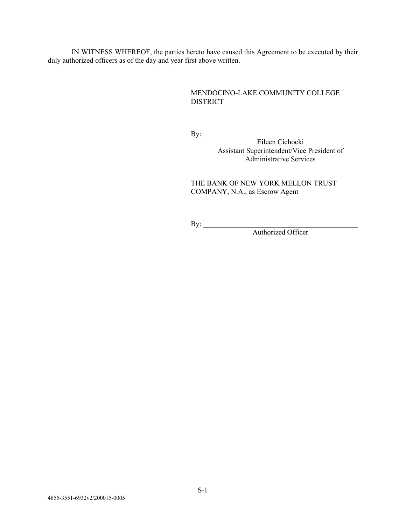IN WITNESS WHEREOF, the parties hereto have caused this Agreement to be executed by their duly authorized officers as of the day and year first above written.

### MENDOCINO-LAKE COMMUNITY COLLEGE DISTRICT

By:

Eileen Cichocki Assistant Superintendent/Vice President of Administrative Services

THE BANK OF NEW YORK MELLON TRUST COMPANY, N.A., as Escrow Agent

By:

Authorized Officer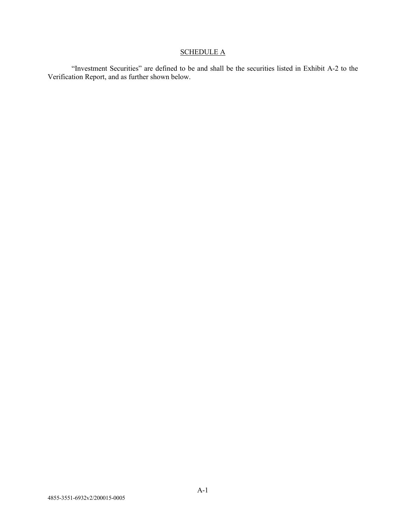# **SCHEDULE A**

"Investment Securities" are defined to be and shall be the securities listed in Exhibit A-2 to the Verification Report, and as further shown below.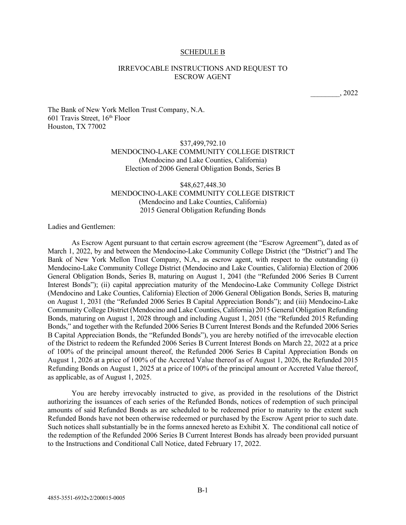#### SCHEDULE B

### IRREVOCABLE INSTRUCTIONS AND REQUEST TO ESCROW AGENT

\_\_\_\_\_\_\_\_, 2022

The Bank of New York Mellon Trust Company, N.A. 601 Travis Street, 16th Floor Houston, TX 77002

### \$37,499,792.10 MENDOCINO-LAKE COMMUNITY COLLEGE DISTRICT (Mendocino and Lake Counties, California) Election of 2006 General Obligation Bonds, Series B

### \$48,627,448.30 MENDOCINO-LAKE COMMUNITY COLLEGE DISTRICT (Mendocino and Lake Counties, California) 2015 General Obligation Refunding Bonds

Ladies and Gentlemen:

As Escrow Agent pursuant to that certain escrow agreement (the "Escrow Agreement"), dated as of March 1, 2022, by and between the Mendocino-Lake Community College District (the "District") and The Bank of New York Mellon Trust Company, N.A., as escrow agent, with respect to the outstanding (i) Mendocino-Lake Community College District (Mendocino and Lake Counties, California) Election of 2006 General Obligation Bonds, Series B, maturing on August 1, 2041 (the "Refunded 2006 Series B Current Interest Bonds"); (ii) capital appreciation maturity of the Mendocino-Lake Community College District (Mendocino and Lake Counties, California) Election of 2006 General Obligation Bonds, Series B, maturing on August 1, 2031 (the "Refunded 2006 Series B Capital Appreciation Bonds"); and (iii) Mendocino-Lake Community College District (Mendocino and Lake Counties, California) 2015 General Obligation Refunding Bonds, maturing on August 1, 2028 through and including August 1, 2051 (the "Refunded 2015 Refunding Bonds," and together with the Refunded 2006 Series B Current Interest Bonds and the Refunded 2006 Series B Capital Appreciation Bonds, the "Refunded Bonds"), you are hereby notified of the irrevocable election of the District to redeem the Refunded 2006 Series B Current Interest Bonds on March 22, 2022 at a price of 100% of the principal amount thereof, the Refunded 2006 Series B Capital Appreciation Bonds on August 1, 2026 at a price of 100% of the Accreted Value thereof as of August 1, 2026, the Refunded 2015 Refunding Bonds on August 1, 2025 at a price of 100% of the principal amount or Accreted Value thereof, as applicable, as of August 1, 2025.

You are hereby irrevocably instructed to give, as provided in the resolutions of the District authorizing the issuances of each series of the Refunded Bonds, notices of redemption of such principal amounts of said Refunded Bonds as are scheduled to be redeemed prior to maturity to the extent such Refunded Bonds have not been otherwise redeemed or purchased by the Escrow Agent prior to such date. Such notices shall substantially be in the forms annexed hereto as Exhibit X. The conditional call notice of the redemption of the Refunded 2006 Series B Current Interest Bonds has already been provided pursuant to the Instructions and Conditional Call Notice, dated February 17, 2022.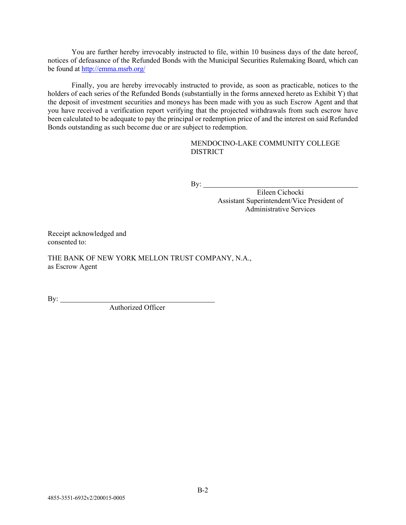You are further hereby irrevocably instructed to file, within 10 business days of the date hereof, notices of defeasance of the Refunded Bonds with the Municipal Securities Rulemaking Board, which can be found at<http://emma.msrb.org/>

Finally, you are hereby irrevocably instructed to provide, as soon as practicable, notices to the holders of each series of the Refunded Bonds (substantially in the forms annexed hereto as Exhibit Y) that the deposit of investment securities and moneys has been made with you as such Escrow Agent and that you have received a verification report verifying that the projected withdrawals from such escrow have been calculated to be adequate to pay the principal or redemption price of and the interest on said Refunded Bonds outstanding as such become due or are subject to redemption.

### MENDOCINO-LAKE COMMUNITY COLLEGE DISTRICT

By:

Eileen Cichocki Assistant Superintendent/Vice President of Administrative Services

Receipt acknowledged and consented to:

THE BANK OF NEW YORK MELLON TRUST COMPANY, N.A., as Escrow Agent

By:

Authorized Officer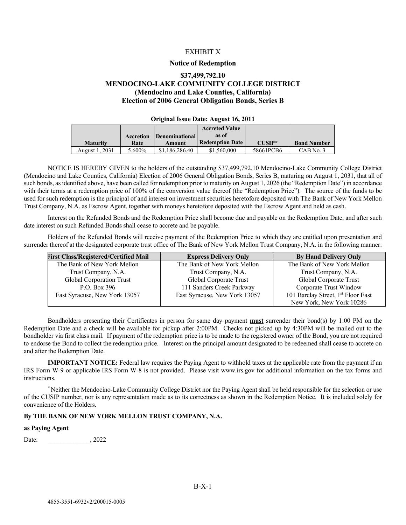#### EXHIBIT X

#### **Notice of Redemption**

### **\$37,499,792.10 MENDOCINO-LAKE COMMUNITY COLLEGE DISTRICT (Mendocino and Lake Counties, California) Election of 2006 General Obligation Bonds, Series B**

#### **Original Issue Date: August 16, 2011**

|                 |           |                       | <b>Accreted Value</b>  |           |                    |
|-----------------|-----------|-----------------------|------------------------|-----------|--------------------|
|                 | Accretion | <b>Denominational</b> | as of                  |           |                    |
| <b>Maturity</b> | Rate      | Amount                | <b>Redemption Date</b> | $CIISIP*$ | <b>Bond Number</b> |
| August 1, 2031  | 5.600%    | \$1,186,286.40        | \$1,560,000            | 58661PCB6 | CAB No. 3          |

NOTICE IS HEREBY GIVEN to the holders of the outstanding \$37,499,792.10 Mendocino-Lake Community College District (Mendocino and Lake Counties, California) Election of 2006 General Obligation Bonds, Series B, maturing on August 1, 2031, that all of such bonds, as identified above, have been called for redemption prior to maturity on August 1, 2026 (the "Redemption Date") in accordance with their terms at a redemption price of 100% of the conversion value thereof (the "Redemption Price"). The source of the funds to be used for such redemption is the principal of and interest on investment securities heretofore deposited with The Bank of New York Mellon Trust Company, N.A. as Escrow Agent, together with moneys heretofore deposited with the Escrow Agent and held as cash.

Interest on the Refunded Bonds and the Redemption Price shall become due and payable on the Redemption Date, and after such date interest on such Refunded Bonds shall cease to accrete and be payable.

Holders of the Refunded Bonds will receive payment of the Redemption Price to which they are entitled upon presentation and surrender thereof at the designated corporate trust office of The Bank of New York Mellon Trust Company, N.A. in the following manner:

| <b>First Class/Registered/Certified Mail</b> | <b>Express Delivery Only</b>  | <b>By Hand Delivery Only</b>                   |
|----------------------------------------------|-------------------------------|------------------------------------------------|
| The Bank of New York Mellon                  | The Bank of New York Mellon   | The Bank of New York Mellon                    |
| Trust Company, N.A.                          | Trust Company, N.A.           | Trust Company, N.A.                            |
| Global Corporation Trust                     | Global Corporate Trust        | Global Corporate Trust                         |
| P.O. Box 396                                 | 111 Sanders Creek Parkway     | Corporate Trust Window                         |
| East Syracuse, New York 13057                | East Syracuse, New York 13057 | 101 Barclay Street, 1 <sup>st</sup> Floor East |
|                                              |                               | New York, New York 10286                       |

Bondholders presenting their Certificates in person for same day payment **must** surrender their bond(s) by 1:00 PM on the Redemption Date and a check will be available for pickup after 2:00PM. Checks not picked up by 4:30PM will be mailed out to the bondholder via first class mail. If payment of the redemption price is to be made to the registered owner of the Bond, you are not required to endorse the Bond to collect the redemption price. Interest on the principal amount designated to be redeemed shall cease to accrete on and after the Redemption Date.

**IMPORTANT NOTICE:** Federal law requires the Paying Agent to withhold taxes at the applicable rate from the payment if an IRS Form W-9 or applicable IRS Form W-8 is not provided. Please visit www.irs.gov for additional information on the tax forms and instructions.

\*Neither the Mendocino-Lake Community College District nor the Paying Agent shall be held responsible for the selection or use of the CUSIP number, nor is any representation made as to its correctness as shown in the Redemption Notice. It is included solely for convenience of the Holders.

#### **By THE BANK OF NEW YORK MELLON TRUST COMPANY, N.A.**

#### **as Paying Agent**

Date: , 2022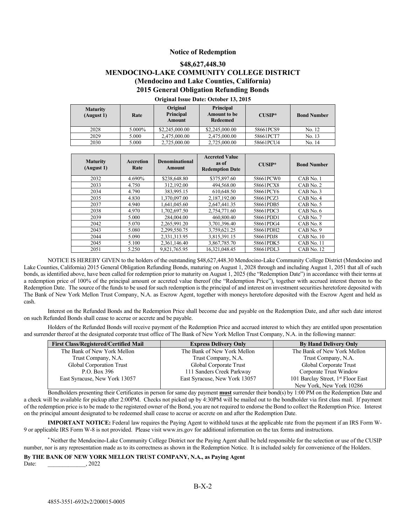#### **Notice of Redemption**

### **\$48,627,448.30 MENDOCINO-LAKE COMMUNITY COLLEGE DISTRICT (Mendocino and Lake Counties, California) 2015 General Obligation Refunding Bonds**

| <b>Maturity</b><br>(August 1) | Rate   | Original<br><b>Principal</b><br>Amount | Principal<br><b>Amount to be</b><br>Redeemed | $CIISIP*$ | <b>Bond Number</b> |
|-------------------------------|--------|----------------------------------------|----------------------------------------------|-----------|--------------------|
| 2028                          | 5.000% | \$2,245,000.00                         | \$2,245,000.00                               | 58661PCS9 | No. 12             |
| 2029                          | 5.000  | 2.475,000.00                           | 2,475,000.00                                 | 58661PCT7 | No. 13             |
| 2030                          | 5.000  | 2,725,000.00                           | 2,725,000.00                                 | 58661PCU4 | No. 14             |

#### **Original Issue Date: October 13, 2015**

| <b>Maturity</b><br>(August 1) | <b>Accretion</b><br>Rate | <b>Denominational</b><br>Amount | <b>Accreted Value</b><br>as of<br><b>Redemption Date</b> | $CUSIP*$  | <b>Bond Number</b> |
|-------------------------------|--------------------------|---------------------------------|----------------------------------------------------------|-----------|--------------------|
| 2032                          | 4.690%                   | \$238,648.80                    | \$375,897.60                                             | 58661PCW0 | CAB No. 1          |
| 2033                          | 4.750                    | 312,192.00                      | 494,568.00                                               | 58661PCX8 | CAB No. 2          |
| 2034                          | 4.790                    | 383,995.15                      | 610,648.50                                               | 58661PCY6 | CAB No. 3          |
| 2035                          | 4.830                    | 1.370.097.00                    | 2.187.192.00                                             | 58661PCZ3 | CAB No. 4          |
| 2037                          | 4.940                    | 1,641,045.60                    | 2.647.441.35                                             | 58661PDB5 | CAB No. 5          |
| 2038                          | 4.970                    | 1.702.697.50                    | 2.754.771.60                                             | 58661PDC3 | CAB No. 6          |
| 2039                          | 5.000                    | 284,004.00                      | 460,800.40                                               | 58661PDD1 | CAB No. 7          |
| 2042                          | 5.070                    | 2.265.991.20                    | 3.701.396.40                                             | 58661PDG4 | CAB No. 8          |
| 2043                          | 5.080                    | 2,299,550.75                    | 3,759,621.25                                             | 58661PDH2 | CAB No. 9          |
| 2044                          | 5.090                    | 2.331.313.95                    | 3.815.391.15                                             | 58661PDJ8 | CAB No. 10         |
| 2045                          | 5.100                    | 2.361.146.40                    | 3,867,785.70                                             | 58661PDK5 | CAB No. 11         |
| 2051                          | 5.250                    | 9.821.765.95                    | 16.321.048.45                                            | 58661PDL3 | CAB No. 12         |

NOTICE IS HEREBY GIVEN to the holders of the outstanding \$48,627,448.30 Mendocino-Lake Community College District (Mendocino and Lake Counties, California) 2015 General Obligation Refunding Bonds, maturing on August 1, 2028 through and including August 1, 2051 that all of such bonds, as identified above, have been called for redemption prior to maturity on August 1, 2025 (the "Redemption Date") in accordance with their terms at a redemption price of 100% of the principal amount or accreted value thereof (the "Redemption Price"), together with accrued interest thereon to the Redemption Date. The source of the funds to be used for such redemption is the principal of and interest on investment securities heretofore deposited with The Bank of New York Mellon Trust Company, N.A. as Escrow Agent, together with moneys heretofore deposited with the Escrow Agent and held as cash.

Interest on the Refunded Bonds and the Redemption Price shall become due and payable on the Redemption Date, and after such date interest on such Refunded Bonds shall cease to accrue or accrete and be payable.

Holders of the Refunded Bonds will receive payment of the Redemption Price and accrued interest to which they are entitled upon presentation and surrender thereof at the designated corporate trust office of The Bank of New York Mellon Trust Company, N.A. in the following manner:

| <b>First Class/Registered/Certified Mail</b> | <b>Express Delivery Only</b>  | <b>By Hand Delivery Only</b>                   |
|----------------------------------------------|-------------------------------|------------------------------------------------|
| The Bank of New York Mellon                  | The Bank of New York Mellon   | The Bank of New York Mellon                    |
| Trust Company, N.A.                          | Trust Company, N.A.           | Trust Company, N.A.                            |
| Global Corporation Trust                     | Global Corporate Trust        | Global Corporate Trust                         |
| P.O. Box 396                                 | 111 Sanders Creek Parkway     | Corporate Trust Window                         |
| East Syracuse, New York 13057                | East Syracuse, New York 13057 | 101 Barclay Street, 1 <sup>st</sup> Floor East |
|                                              |                               | New York, New York 10286                       |

Bondholders presenting their Certificates in person for same day payment **must** surrender their bond(s) by 1:00 PM on the Redemption Date and a check will be available for pickup after 2:00PM. Checks not picked up by 4:30PM will be mailed out to the bondholder via first class mail. If payment of the redemption price is to be made to the registered owner of the Bond, you are not required to endorse the Bond to collect the Redemption Price. Interest on the principal amount designated to be redeemed shall cease to accrue or accrete on and after the Redemption Date.

**IMPORTANT NOTICE:** Federal law requires the Paying Agent to withhold taxes at the applicable rate from the payment if an IRS Form W-9 or applicable IRS Form W-8 is not provided. Please visit www.irs.gov for additional information on the tax forms and instructions.

\* Neither the Mendocino-Lake Community College District nor the Paying Agent shall be held responsible for the selection or use of the CUSIP number, nor is any representation made as to its correctness as shown in the Redemption Notice. It is included solely for convenience of the Holders.

#### **By THE BANK OF NEW YORK MELLON TRUST COMPANY, N.A., as Paying Agent**

Date: , 2022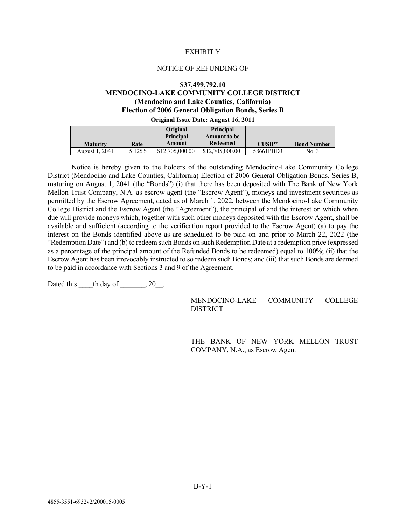#### EXHIBIT Y

#### NOTICE OF REFUNDING OF

#### **\$37,499,792.10**

## **MENDOCINO-LAKE COMMUNITY COLLEGE DISTRICT (Mendocino and Lake Counties, California) Election of 2006 General Obligation Bonds, Series B**

#### **Original Issue Date: August 16, 2011**

|                 |        | Original<br><b>Principal</b> | <b>Principal</b><br><b>Amount to be</b> |           |                    |
|-----------------|--------|------------------------------|-----------------------------------------|-----------|--------------------|
| <b>Maturity</b> | Rate   | Amount                       | Redeemed                                | $CIISIP*$ | <b>Bond Number</b> |
| August 1, 2041  | 5.125% | \$12,705,000.00              | \$12,705,000.00                         | 58661PBD3 | No. 3              |

Notice is hereby given to the holders of the outstanding Mendocino-Lake Community College District (Mendocino and Lake Counties, California) Election of 2006 General Obligation Bonds, Series B, maturing on August 1, 2041 (the "Bonds") (i) that there has been deposited with The Bank of New York Mellon Trust Company, N.A. as escrow agent (the "Escrow Agent"), moneys and investment securities as permitted by the Escrow Agreement, dated as of March 1, 2022, between the Mendocino-Lake Community College District and the Escrow Agent (the "Agreement"), the principal of and the interest on which when due will provide moneys which, together with such other moneys deposited with the Escrow Agent, shall be available and sufficient (according to the verification report provided to the Escrow Agent) (a) to pay the interest on the Bonds identified above as are scheduled to be paid on and prior to March 22, 2022 (the "Redemption Date") and (b) to redeem such Bonds on such Redemption Date at a redemption price (expressed as a percentage of the principal amount of the Refunded Bonds to be redeemed) equal to 100%; (ii) that the Escrow Agent has been irrevocably instructed to so redeem such Bonds; and (iii) that such Bonds are deemed to be paid in accordance with Sections 3 and 9 of the Agreement.

Dated this  $\qquad$  th day of  $\qquad$ , 20.

MENDOCINO-LAKE COMMUNITY COLLEGE **DISTRICT** 

THE BANK OF NEW YORK MELLON TRUST COMPANY, N.A., as Escrow Agent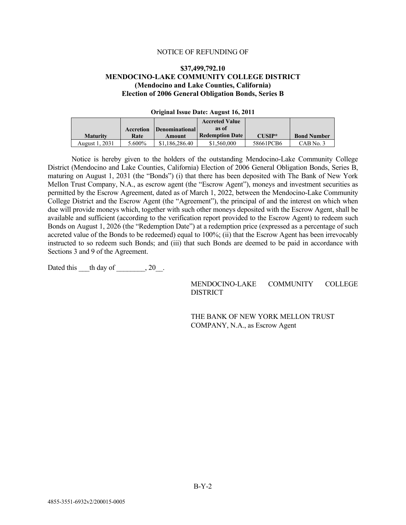#### NOTICE OF REFUNDING OF

### **\$37,499,792.10 MENDOCINO-LAKE COMMUNITY COLLEGE DISTRICT (Mendocino and Lake Counties, California) Election of 2006 General Obligation Bonds, Series B**

| OTHERMA ROOMS D'AGUE TIME MOU TOUT OIL |           |                              |                        |           |                    |  |  |
|----------------------------------------|-----------|------------------------------|------------------------|-----------|--------------------|--|--|
|                                        |           |                              | <b>Accreted Value</b>  |           |                    |  |  |
|                                        | Accretion | <i><b>Denominational</b></i> | as of                  |           |                    |  |  |
| <b>Maturity</b>                        | Rate      | Amount                       | <b>Redemption Date</b> | $CIISIP*$ | <b>Bond Number</b> |  |  |
| August 1, 2031                         | 5.600%    | \$1,186,286.40               | \$1,560,000            | 58661PCB6 | $CAB$ No. 3        |  |  |

### **Original Issue Date: August 16, 2011**

Notice is hereby given to the holders of the outstanding Mendocino-Lake Community College District (Mendocino and Lake Counties, California) Election of 2006 General Obligation Bonds, Series B, maturing on August 1, 2031 (the "Bonds") (i) that there has been deposited with The Bank of New York Mellon Trust Company, N.A., as escrow agent (the "Escrow Agent"), moneys and investment securities as permitted by the Escrow Agreement, dated as of March 1, 2022, between the Mendocino-Lake Community College District and the Escrow Agent (the "Agreement"), the principal of and the interest on which when due will provide moneys which, together with such other moneys deposited with the Escrow Agent, shall be available and sufficient (according to the verification report provided to the Escrow Agent) to redeem such Bonds on August 1, 2026 (the "Redemption Date") at a redemption price (expressed as a percentage of such accreted value of the Bonds to be redeemed) equal to 100%; (ii) that the Escrow Agent has been irrevocably instructed to so redeem such Bonds; and (iii) that such Bonds are deemed to be paid in accordance with Sections 3 and 9 of the Agreement.

Dated this  $\qquad$  th day of  $\qquad$ , 20.

MENDOCINO-LAKE COMMUNITY COLLEGE **DISTRICT** 

THE BANK OF NEW YORK MELLON TRUST COMPANY, N.A., as Escrow Agent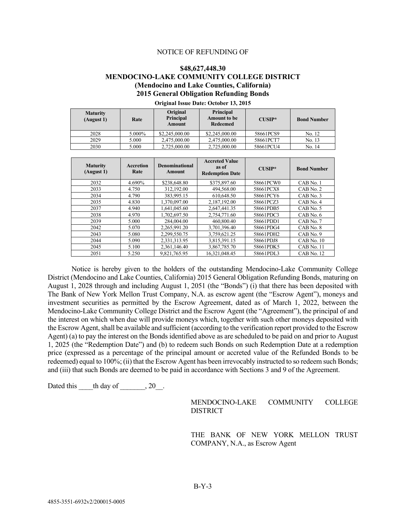#### NOTICE OF REFUNDING OF

### **\$48,627,448.30 MENDOCINO-LAKE COMMUNITY COLLEGE DISTRICT (Mendocino and Lake Counties, California) 2015 General Obligation Refunding Bonds**

| <b>Maturity</b><br>(August 1) | Rate   | Original<br><b>Principal</b><br><b>Amount</b> | Principal<br><b>Amount to be</b><br>Redeemed | $CIISIP*$ | <b>Bond Number</b> |
|-------------------------------|--------|-----------------------------------------------|----------------------------------------------|-----------|--------------------|
| 2028                          | 5.000% | \$2,245,000.00                                | \$2,245,000.00                               | 58661PCS9 | No. 12             |
| 2029                          | 5.000  | 2,475,000.00                                  | 2,475,000.00                                 | 58661PCT7 | No. 13             |
| 2030                          | 5.000  | 2.725,000.00                                  | 2,725,000.00                                 | 58661PCU4 | No. 14             |

**Original Issue Date: October 13, 2015**

| <b>Maturity</b><br>(August 1) | <b>Accretion</b><br>Rate | <b>Denominational</b><br>Amount | <b>Accreted Value</b><br>as of<br><b>Redemption Date</b> | <b>CUSIP*</b> | <b>Bond Number</b> |
|-------------------------------|--------------------------|---------------------------------|----------------------------------------------------------|---------------|--------------------|
| 2032                          | 4.690%                   | \$238,648.80                    | \$375,897.60                                             | 58661PCW0     | CAB No. 1          |
| 2033                          | 4.750                    | 312,192.00                      | 494,568.00                                               | 58661PCX8     | $CAB$ No. 2        |
| 2034                          | 4.790                    | 383,995.15                      | 610,648.50                                               | 58661PCY6     | CAB No. 3          |
| 2035                          | 4.830                    | 1,370,097.00                    | 2,187,192.00                                             | 58661PCZ3     | CAB No. 4          |
| 2037                          | 4.940                    | 1,641,045.60                    | 2.647.441.35                                             | 58661PDB5     | CAB No. 5          |
| 2038                          | 4.970                    | 1.702.697.50                    | 2.754.771.60                                             | 58661PDC3     | $CAB$ No. $6$      |
| 2039                          | 5.000                    | 284,004.00                      | 460,800.40                                               | 58661PDD1     | CAB No. 7          |
| 2042                          | 5.070                    | 2.265.991.20                    | 3.701.396.40                                             | 58661PDG4     | CAB No. 8          |
| 2043                          | 5.080                    | 2.299.550.75                    | 3.759.621.25                                             | 58661PDH2     | CAB No. 9          |
| 2044                          | 5.090                    | 2.331.313.95                    | 3.815.391.15                                             | 58661PDJ8     | CAB No. 10         |
| 2045                          | 5.100                    | 2.361.146.40                    | 3,867,785.70                                             | 58661PDK5     | CAB No. 11         |
| 2051                          | 5.250                    | 9,821,765.95                    | 16.321.048.45                                            | 58661PDL3     | CAB No. 12         |

Notice is hereby given to the holders of the outstanding Mendocino-Lake Community College District (Mendocino and Lake Counties, California) 2015 General Obligation Refunding Bonds, maturing on August 1, 2028 through and including August 1, 2051 (the "Bonds") (i) that there has been deposited with The Bank of New York Mellon Trust Company, N.A. as escrow agent (the "Escrow Agent"), moneys and investment securities as permitted by the Escrow Agreement, dated as of March 1, 2022, between the Mendocino-Lake Community College District and the Escrow Agent (the "Agreement"), the principal of and the interest on which when due will provide moneys which, together with such other moneys deposited with the Escrow Agent, shall be available and sufficient (according to the verification report provided to the Escrow Agent) (a) to pay the interest on the Bonds identified above as are scheduled to be paid on and prior to August 1, 2025 (the "Redemption Date") and (b) to redeem such Bonds on such Redemption Date at a redemption price (expressed as a percentage of the principal amount or accreted value of the Refunded Bonds to be redeemed) equal to 100%; (ii) that the Escrow Agent has been irrevocably instructed to so redeem such Bonds; and (iii) that such Bonds are deemed to be paid in accordance with Sections 3 and 9 of the Agreement.

Dated this  $\qquad$  th day of  $\qquad$ , 20.

MENDOCINO-LAKE COMMUNITY COLLEGE DISTRICT

THE BANK OF NEW YORK MELLON TRUST COMPANY, N.A., as Escrow Agent